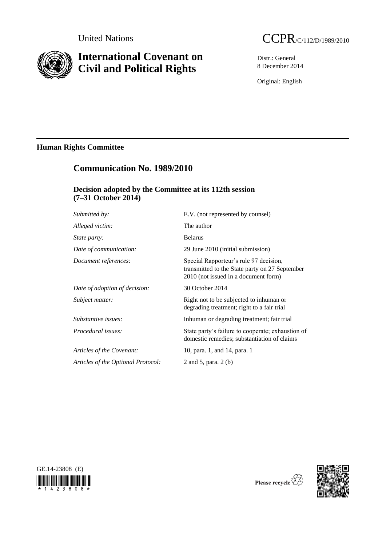

# **International Covenant on Civil and Political Rights**



Distr.: General 8 December 2014

Original: English

## **Human Rights Committee**

## **Communication No. 1989/2010**

## **Decision adopted by the Committee at its 112th session (7–31 October 2014)**

| Submitted by:                      | E.V. (not represented by counsel)                                                                                                |
|------------------------------------|----------------------------------------------------------------------------------------------------------------------------------|
| Alleged victim:                    | The author                                                                                                                       |
| <i>State party:</i>                | <b>Belarus</b>                                                                                                                   |
| Date of communication:             | 29 June 2010 (initial submission)                                                                                                |
| Document references:               | Special Rapporteur's rule 97 decision,<br>transmitted to the State party on 27 September<br>2010 (not issued in a document form) |
| Date of adoption of decision:      | 30 October 2014                                                                                                                  |
| Subject matter:                    | Right not to be subjected to inhuman or<br>degrading treatment; right to a fair trial                                            |
| Substantive issues:                | Inhuman or degrading treatment; fair trial                                                                                       |
| Procedural issues:                 | State party's failure to cooperate; exhaustion of<br>domestic remedies; substantiation of claims                                 |
| Articles of the Covenant:          | 10, para. 1, and 14, para. 1                                                                                                     |
| Articles of the Optional Protocol: | 2 and 5, para. 2 (b)                                                                                                             |
|                                    |                                                                                                                                  |





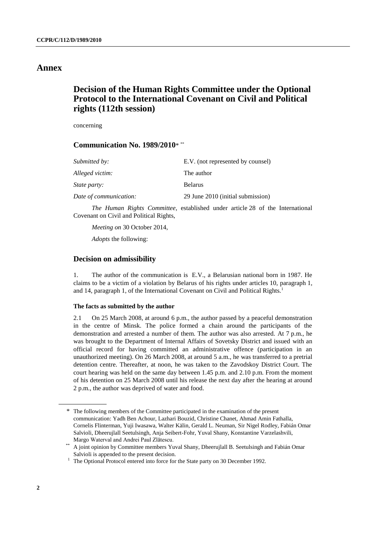### **Annex**

## **Decision of the Human Rights Committee under the Optional Protocol to the International Covenant on Civil and Political rights (112th session)**

concerning

## **Communication No. 1989/2010**\* \*\*

| Submitted by:          | E.V. (not represented by counsel) |
|------------------------|-----------------------------------|
| Alleged victim:        | The author                        |
| <i>State party:</i>    | <b>Belarus</b>                    |
| Date of communication: | 29 June 2010 (initial submission) |

*The Human Rights Committee*, established under article 28 of the International Covenant on Civil and Political Rights,

*Meeting on* 30 October 2014,

*Adopts* the following:

#### **Decision on admissibility**

1. The author of the communication is E.V., a Belarusian national born in 1987. He claims to be a victim of a violation by Belarus of his rights under articles 10, paragraph 1, and 14, paragraph 1, of the International Covenant on Civil and Political Rights.<sup>1</sup>

#### **The facts as submitted by the author**

2.1 On 25 March 2008, at around 6 p.m., the author passed by a peaceful demonstration in the centre of Minsk. The police formed a chain around the participants of the demonstration and arrested a number of them. The author was also arrested. At 7 p.m., he was brought to the Department of Internal Affairs of Sovetsky District and issued with an official record for having committed an administrative offence (participation in an unauthorized meeting). On 26 March 2008, at around 5 a.m., he was transferred to a pretrial detention centre. Thereafter, at noon, he was taken to the Zavodskoy District Court. The court hearing was held on the same day between 1.45 p.m. and 2.10 p.m. From the moment of his detention on 25 March 2008 until his release the next day after the hearing at around 2 p.m., the author was deprived of water and food.

<sup>\*</sup> The following members of the Committee participated in the examination of the present communication: Yadh Ben Achour, Lazhari Bouzid, Christine Chanet, Ahmad Amin Fathalla, Cornelis Flinterman, Yuji Iwasawa, Walter Kälin, Gerald L. Neuman, Sir Nigel Rodley, Fabián Omar Salvioli, Dheerujlall Seetulsingh, Anja Seibert-Fohr, Yuval Shany, Konstantine Varzelashvili, Margo Waterval and Andrei Paul Zlătescu.

<sup>\*\*</sup> A joint opinion by Committee members Yuval Shany, Dheerujlall B. Seetulsingh and Fabián Omar Salvioli is appended to the present decision.

<sup>&</sup>lt;sup>1</sup> The Optional Protocol entered into force for the State party on 30 December 1992.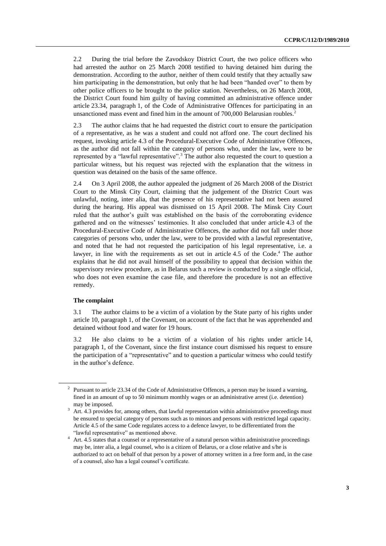2.2 During the trial before the Zavodskoy District Court, the two police officers who had arrested the author on 25 March 2008 testified to having detained him during the demonstration. According to the author, neither of them could testify that they actually saw him participating in the demonstration, but only that he had been "handed over" to them by other police officers to be brought to the police station. Nevertheless, on 26 March 2008, the District Court found him guilty of having committed an administrative offence under article 23.34, paragraph 1, of the Code of Administrative Offences for participating in an unsanctioned mass event and fined him in the amount of 700,000 Belarusian roubles.<sup>2</sup>

2.3 The author claims that he had requested the district court to ensure the participation of a representative, as he was a student and could not afford one. The court declined his request, invoking article 4.3 of the Procedural-Executive Code of Administrative Offences, as the author did not fall within the category of persons who, under the law, were to be represented by a "lawful representative".<sup>3</sup> The author also requested the court to question a particular witness, but his request was rejected with the explanation that the witness in question was detained on the basis of the same offence.

2.4 On 3 April 2008, the author appealed the judgment of 26 March 2008 of the District Court to the Minsk City Court, claiming that the judgement of the District Court was unlawful, noting, inter alia, that the presence of his representative had not been assured during the hearing. His appeal was dismissed on 15 April 2008. The Minsk City Court ruled that the author's guilt was established on the basis of the corroborating evidence gathered and on the witnesses' testimonies. It also concluded that under article 4.3 of the Procedural-Executive Code of Administrative Offences, the author did not fall under those categories of persons who, under the law, were to be provided with a lawful representative, and noted that he had not requested the participation of his legal representative, i.e. a lawyer, in line with the requirements as set out in article 4.5 of the Code. <sup>4</sup> The author explains that he did not avail himself of the possibility to appeal that decision within the supervisory review procedure, as in Belarus such a review is conducted by a single official, who does not even examine the case file, and therefore the procedure is not an effective remedy.

#### **The complaint**

3.1 The author claims to be a victim of a violation by the State party of his rights under article 10, paragraph 1, of the Covenant, on account of the fact that he was apprehended and detained without food and water for 19 hours.

3.2 He also claims to be a victim of a violation of his rights under article 14, paragraph 1, of the Covenant, since the first instance court dismissed his request to ensure the participation of a "representative" and to question a particular witness who could testify in the author's defence.

<sup>&</sup>lt;sup>2</sup> Pursuant to article 23.34 of the Code of Administrative Offences, a person may be issued a warning, fined in an amount of up to 50 minimum monthly wages or an administrative arrest (i.e. detention) may be imposed.

Art. 4.3 provides for, among others, that lawful representation within administrative proceedings must be ensured to special category of persons such as to minors and persons with restricted legal capacity. Article 4.5 of the same Code regulates access to a defence lawyer, to be differentiated from the "lawful representative" as mentioned above.

<sup>&</sup>lt;sup>4</sup> Art. 4.5 states that a counsel or a representative of a natural person within administrative proceedings may be, inter alia, a legal counsel, who is a citizen of Belarus, or a close relative and s/he is authorized to act on behalf of that person by a power of attorney written in a free form and, in the case of a counsel, also has a legal counsel's certificate.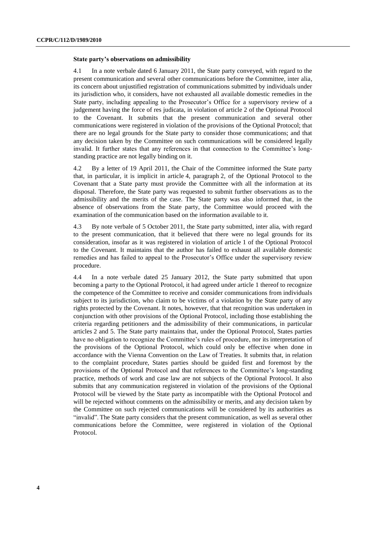#### **State party's observations on admissibility**

4.1 In a note verbale dated 6 January 2011, the State party conveyed, with regard to the present communication and several other communications before the Committee, inter alia, its concern about unjustified registration of communications submitted by individuals under its jurisdiction who, it considers, have not exhausted all available domestic remedies in the State party, including appealing to the Prosecutor's Office for a supervisory review of a judgement having the force of res judicata, in violation of article 2 of the Optional Protocol to the Covenant. It submits that the present communication and several other communications were registered in violation of the provisions of the Optional Protocol; that there are no legal grounds for the State party to consider those communications; and that any decision taken by the Committee on such communications will be considered legally invalid. It further states that any references in that connection to the Committee's longstanding practice are not legally binding on it.

4.2 By a letter of 19 April 2011, the Chair of the Committee informed the State party that, in particular, it is implicit in article 4, paragraph 2, of the Optional Protocol to the Covenant that a State party must provide the Committee with all the information at its disposal. Therefore, the State party was requested to submit further observations as to the admissibility and the merits of the case. The State party was also informed that, in the absence of observations from the State party, the Committee would proceed with the examination of the communication based on the information available to it.

4.3 By note verbale of 5 October 2011, the State party submitted, inter alia, with regard to the present communication, that it believed that there were no legal grounds for its consideration, insofar as it was registered in violation of article 1 of the Optional Protocol to the Covenant. It maintains that the author has failed to exhaust all available domestic remedies and has failed to appeal to the Prosecutor's Office under the supervisory review procedure.

4.4 In a note verbale dated 25 January 2012, the State party submitted that upon becoming a party to the Optional Protocol, it had agreed under article 1 thereof to recognize the competence of the Committee to receive and consider communications from individuals subject to its jurisdiction, who claim to be victims of a violation by the State party of any rights protected by the Covenant. It notes, however, that that recognition was undertaken in conjunction with other provisions of the Optional Protocol, including those establishing the criteria regarding petitioners and the admissibility of their communications, in particular articles 2 and 5. The State party maintains that, under the Optional Protocol, States parties have no obligation to recognize the Committee's rules of procedure, nor its interpretation of the provisions of the Optional Protocol, which could only be effective when done in accordance with the Vienna Convention on the Law of Treaties. It submits that, in relation to the complaint procedure, States parties should be guided first and foremost by the provisions of the Optional Protocol and that references to the Committee's long-standing practice, methods of work and case law are not subjects of the Optional Protocol. It also submits that any communication registered in violation of the provisions of the Optional Protocol will be viewed by the State party as incompatible with the Optional Protocol and will be rejected without comments on the admissibility or merits, and any decision taken by the Committee on such rejected communications will be considered by its authorities as "invalid". The State party considers that the present communication, as well as several other communications before the Committee, were registered in violation of the Optional Protocol.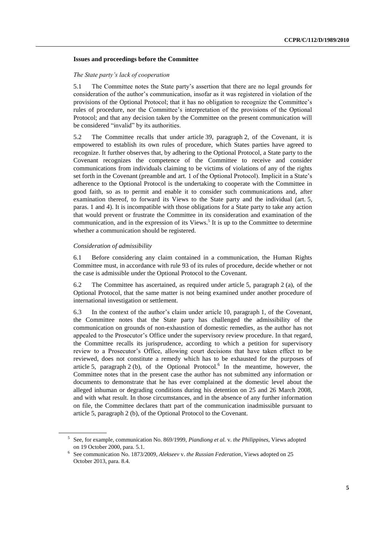#### **Issues and proceedings before the Committee**

#### *The State party's lack of cooperation*

5.1 The Committee notes the State party's assertion that there are no legal grounds for consideration of the author's communication, insofar as it was registered in violation of the provisions of the Optional Protocol; that it has no obligation to recognize the Committee's rules of procedure, nor the Committee's interpretation of the provisions of the Optional Protocol; and that any decision taken by the Committee on the present communication will be considered "invalid" by its authorities.

5.2 The Committee recalls that under article 39, paragraph 2, of the Covenant, it is empowered to establish its own rules of procedure, which States parties have agreed to recognize. It further observes that, by adhering to the Optional Protocol, a State party to the Covenant recognizes the competence of the Committee to receive and consider communications from individuals claiming to be victims of violations of any of the rights set forth in the Covenant (preamble and art. 1 of the Optional Protocol). Implicit in a State's adherence to the Optional Protocol is the undertaking to cooperate with the Committee in good faith, so as to permit and enable it to consider such communications and, after examination thereof, to forward its Views to the State party and the individual (art. 5, paras. 1 and 4). It is incompatible with those obligations for a State party to take any action that would prevent or frustrate the Committee in its consideration and examination of the communication, and in the expression of its Views. 5 It is up to the Committee to determine whether a communication should be registered.

#### *Consideration of admissibility*

6.1 Before considering any claim contained in a communication, the Human Rights Committee must, in accordance with rule 93 of its rules of procedure, decide whether or not the case is admissible under the Optional Protocol to the Covenant.

6.2 The Committee has ascertained, as required under article 5, paragraph 2 (a), of the Optional Protocol, that the same matter is not being examined under another procedure of international investigation or settlement.

6.3 In the context of the author's claim under article 10, paragraph 1, of the Covenant, the Committee notes that the State party has challenged the admissibility of the communication on grounds of non-exhaustion of domestic remedies, as the author has not appealed to the Prosecutor's Office under the supervisory review procedure. In that regard, the Committee recalls its jurisprudence, according to which a petition for supervisory review to a Prosecutor's Office, allowing court decisions that have taken effect to be reviewed, does not constitute a remedy which has to be exhausted for the purposes of article 5, paragraph 2 (b), of the Optional Protocol.<sup>6</sup> In the meantime, however, the Committee notes that in the present case the author has not submitted any information or documents to demonstrate that he has ever complained at the domestic level about the alleged inhuman or degrading conditions during his detention on 25 and 26 March 2008, and with what result. In those circumstances, and in the absence of any further information on file, the Committee declares thatt part of the communication inadmissible pursuant to article 5, paragraph 2 (b), of the Optional Protocol to the Covenant.

<sup>5</sup> See, for example, communication No. 869/1999, *Piandiong et al.* v. *the Philippines*, Views adopted on 19 October 2000, para. 5.1.

<sup>6</sup> See communication No. 1873/2009, *Alekseev* v. *the Russian Federation*, Views adopted on 25 October 2013, para. 8.4.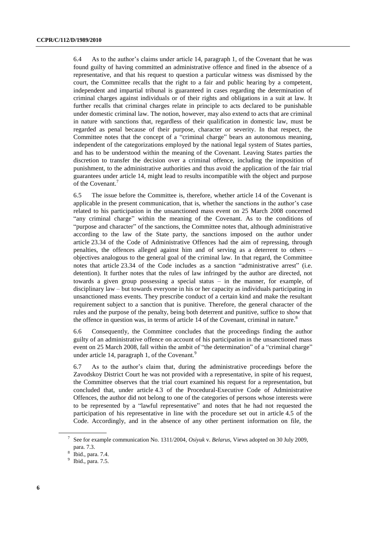6.4 As to the author's claims under article 14, paragraph 1, of the Covenant that he was found guilty of having committed an administrative offence and fined in the absence of a representative, and that his request to question a particular witness was dismissed by the court, the Committee recalls that the right to a fair and public hearing by a competent, independent and impartial tribunal is guaranteed in cases regarding the determination of criminal charges against individuals or of their rights and obligations in a suit at law. It further recalls that criminal charges relate in principle to acts declared to be punishable under domestic criminal law. The notion, however, may also extend to acts that are criminal in nature with sanctions that, regardless of their qualification in domestic law, must be regarded as penal because of their purpose, character or severity. In that respect, the Committee notes that the concept of a "criminal charge" bears an autonomous meaning, independent of the categorizations employed by the national legal system of States parties, and has to be understood within the meaning of the Covenant. Leaving States parties the discretion to transfer the decision over a criminal offence, including the imposition of punishment, to the administrative authorities and thus avoid the application of the fair trial guarantees under article 14, might lead to results incompatible with the object and purpose of the Covenant.<sup>7</sup>

6.5 The issue before the Committee is, therefore, whether article 14 of the Covenant is applicable in the present communication, that is, whether the sanctions in the author's case related to his participation in the unsanctioned mass event on 25 March 2008 concerned "any criminal charge" within the meaning of the Covenant. As to the conditions of "purpose and character" of the sanctions, the Committee notes that, although administrative according to the law of the State party, the sanctions imposed on the author under article 23.34 of the Code of Administrative Offences had the aim of repressing, through penalties, the offences alleged against him and of serving as a deterrent to others – objectives analogous to the general goal of the criminal law. In that regard, the Committee notes that article 23.34 of the Code includes as a sanction "administrative arrest" (i.e. detention). It further notes that the rules of law infringed by the author are directed, not towards a given group possessing a special status – in the manner, for example, of disciplinary law – but towards everyone in his or her capacity as individuals participating in unsanctioned mass events. They prescribe conduct of a certain kind and make the resultant requirement subject to a sanction that is punitive. Therefore, the general character of the rules and the purpose of the penalty, being both deterrent and punitive, suffice to show that the offence in question was, in terms of article 14 of the Covenant, criminal in nature. $8$ 

6.6 Consequently, the Committee concludes that the proceedings finding the author guilty of an administrative offence on account of his participation in the unsanctioned mass event on 25 March 2008, fall within the ambit of "the determination" of a "criminal charge" under article 14, paragraph 1, of the Covenant.<sup>9</sup>

6.7 As to the author's claim that, during the administrative proceedings before the Zavodskoy District Court he was not provided with a representative, in spite of his request, the Committee observes that the trial court examined his request for a representation, but concluded that, under article 4.3 of the Procedural-Executive Code of Administrative Offences, the author did not belong to one of the categories of persons whose interests were to be represented by a "lawful representative" and notes that he had not requested the participation of his representative in line with the procedure set out in article 4.5 of the Code. Accordingly, and in the absence of any other pertinent information on file, the

<sup>7</sup> See for example communication No. 1311/2004, *Osiyuk* v. *Belarus*, Views adopted on 30 July 2009, para. 7.3.

<sup>8</sup> Ibid., para. 7.4.

<sup>&</sup>lt;sup>9</sup> Ibid., para. 7.5.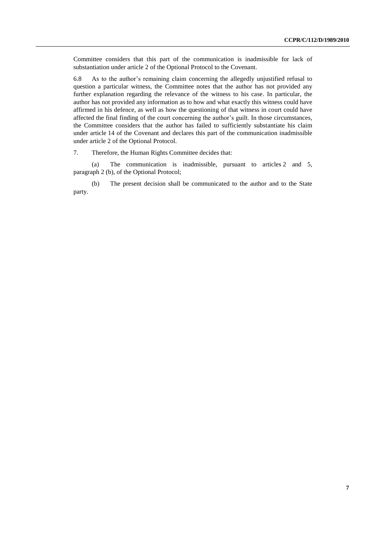Committee considers that this part of the communication is inadmissible for lack of substantiation under article 2 of the Optional Protocol to the Covenant.

6.8 As to the author's remaining claim concerning the allegedly unjustified refusal to question a particular witness, the Committee notes that the author has not provided any further explanation regarding the relevance of the witness to his case. In particular, the author has not provided any information as to how and what exactly this witness could have affirmed in his defence, as well as how the questioning of that witness in court could have affected the final finding of the court concerning the author's guilt. In those circumstances, the Committee considers that the author has failed to sufficiently substantiate his claim under article 14 of the Covenant and declares this part of the communication inadmissible under article 2 of the Optional Protocol.

7. Therefore, the Human Rights Committee decides that:

(a) The communication is inadmissible, pursuant to articles 2 and 5, paragraph 2 (b), of the Optional Protocol;

(b) The present decision shall be communicated to the author and to the State party.